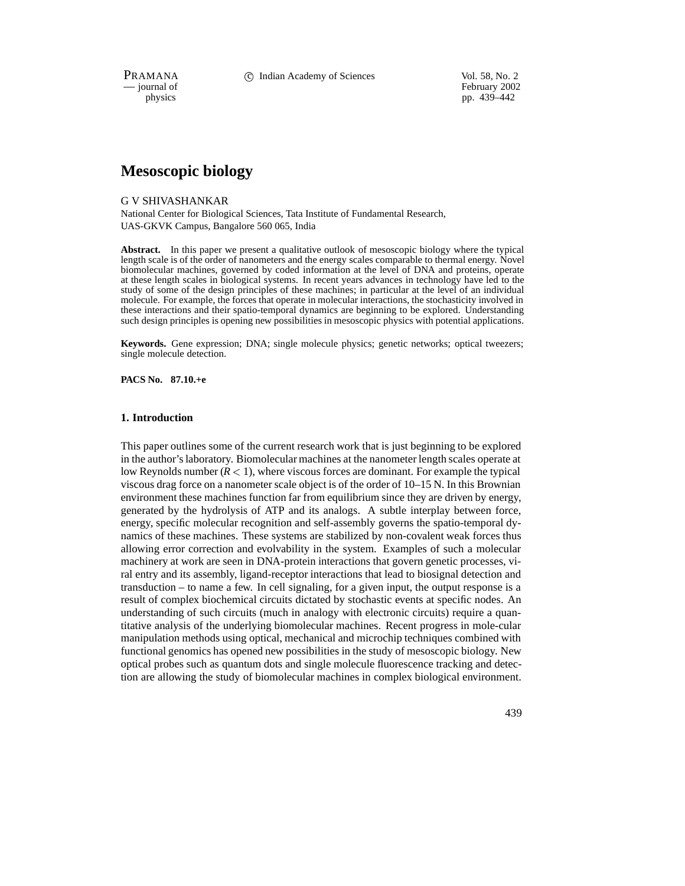PRAMANA 
compared in the C Indian Academy of Sciences Vol. 58, No. 2<br>
compared in the compared of the compared of the compared of the compared of the compared of the compared of the compared of the compared of the compared

physics<br>
pp. 439–442<br>
pp. 439–442 pp. 439–442

# **Mesoscopic biology**

#### G V SHIVASHANKAR

National Center for Biological Sciences, Tata Institute of Fundamental Research, UAS-GKVK Campus, Bangalore 560 065, India

**Abstract.** In this paper we present a qualitative outlook of mesoscopic biology where the typical length scale is of the order of nanometers and the energy scales comparable to thermal energy. Novel biomolecular machines, governed by coded information at the level of DNA and proteins, operate at these length scales in biological systems. In recent years advances in technology have led to the study of some of the design principles of these machines; in particular at the level of an individual molecule. For example, the forces that operate in molecular interactions, the stochasticity involved in these interactions and their spatio-temporal dynamics are beginning to be explored. Understanding such design principles is opening new possibilities in mesoscopic physics with potential applications.

**Keywords.** Gene expression; DNA; single molecule physics; genetic networks; optical tweezers; single molecule detection.

**PACS No. 87.10.+e**

#### **1. Introduction**

This paper outlines some of the current research work that is just beginning to be explored in the author's laboratory. Biomolecular machines at the nanometer length scales operate at low Reynolds number  $(R < 1)$ , where viscous forces are dominant. For example the typical viscous drag force on a nanometer scale object is of the order of 10–15 N. In this Brownian environment these machines function far from equilibrium since they are driven by energy, generated by the hydrolysis of ATP and its analogs. A subtle interplay between force, energy, specific molecular recognition and self-assembly governs the spatio-temporal dynamics of these machines. These systems are stabilized by non-covalent weak forces thus allowing error correction and evolvability in the system. Examples of such a molecular machinery at work are seen in DNA-protein interactions that govern genetic processes, viral entry and its assembly, ligand-receptor interactions that lead to biosignal detection and transduction – to name a few. In cell signaling, for a given input, the output response is a result of complex biochemical circuits dictated by stochastic events at specific nodes. An understanding of such circuits (much in analogy with electronic circuits) require a quantitative analysis of the underlying biomolecular machines. Recent progress in mole-cular manipulation methods using optical, mechanical and microchip techniques combined with functional genomics has opened new possibilities in the study of mesoscopic biology. New optical probes such as quantum dots and single molecule fluorescence tracking and detection are allowing the study of biomolecular machines in complex biological environment.

439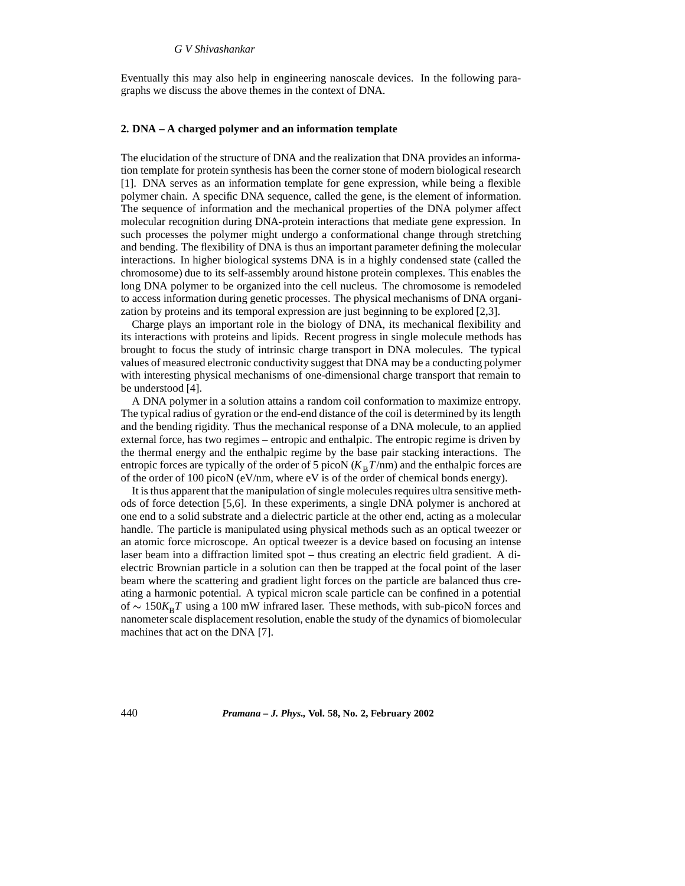## *G V Shivashankar*

Eventually this may also help in engineering nanoscale devices. In the following paragraphs we discuss the above themes in the context of DNA.

# **2. DNA – A charged polymer and an information template**

The elucidation of the structure of DNA and the realization that DNA provides an information template for protein synthesis has been the corner stone of modern biological research [1]. DNA serves as an information template for gene expression, while being a flexible polymer chain. A specific DNA sequence, called the gene, is the element of information. The sequence of information and the mechanical properties of the DNA polymer affect molecular recognition during DNA-protein interactions that mediate gene expression. In such processes the polymer might undergo a conformational change through stretching and bending. The flexibility of DNA is thus an important parameter defining the molecular interactions. In higher biological systems DNA is in a highly condensed state (called the chromosome) due to its self-assembly around histone protein complexes. This enables the long DNA polymer to be organized into the cell nucleus. The chromosome is remodeled to access information during genetic processes. The physical mechanisms of DNA organization by proteins and its temporal expression are just beginning to be explored [2,3].

Charge plays an important role in the biology of DNA, its mechanical flexibility and its interactions with proteins and lipids. Recent progress in single molecule methods has brought to focus the study of intrinsic charge transport in DNA molecules. The typical values of measured electronic conductivity suggest that DNA may be a conducting polymer with interesting physical mechanisms of one-dimensional charge transport that remain to be understood [4].

A DNA polymer in a solution attains a random coil conformation to maximize entropy. The typical radius of gyration or the end-end distance of the coil is determined by its length and the bending rigidity. Thus the mechanical response of a DNA molecule, to an applied external force, has two regimes – entropic and enthalpic. The entropic regime is driven by the thermal energy and the enthalpic regime by the base pair stacking interactions. The entropic forces are typically of the order of 5 picoN ( $K<sub>B</sub>T/nm$ ) and the enthalpic forces are of the order of 100 picoN (eV/nm, where eV is of the order of chemical bonds energy).

It is thus apparent that the manipulation of single molecules requires ultra sensitive methods of force detection [5,6]. In these experiments, a single DNA polymer is anchored at one end to a solid substrate and a dielectric particle at the other end, acting as a molecular handle. The particle is manipulated using physical methods such as an optical tweezer or an atomic force microscope. An optical tweezer is a device based on focusing an intense laser beam into a diffraction limited spot – thus creating an electric field gradient. A dielectric Brownian particle in a solution can then be trapped at the focal point of the laser beam where the scattering and gradient light forces on the particle are balanced thus creating a harmonic potential. A typical micron scale particle can be confined in a potential of  $\sim 150K_{\rm B}T$  using a 100 mW infrared laser. These methods, with sub-picoN forces and nanometer scale displacement resolution, enable the study of the dynamics of biomolecular machines that act on the DNA [7].

440 *Pramana – J. Phys.,* **Vol. 58, No. 2, February 2002**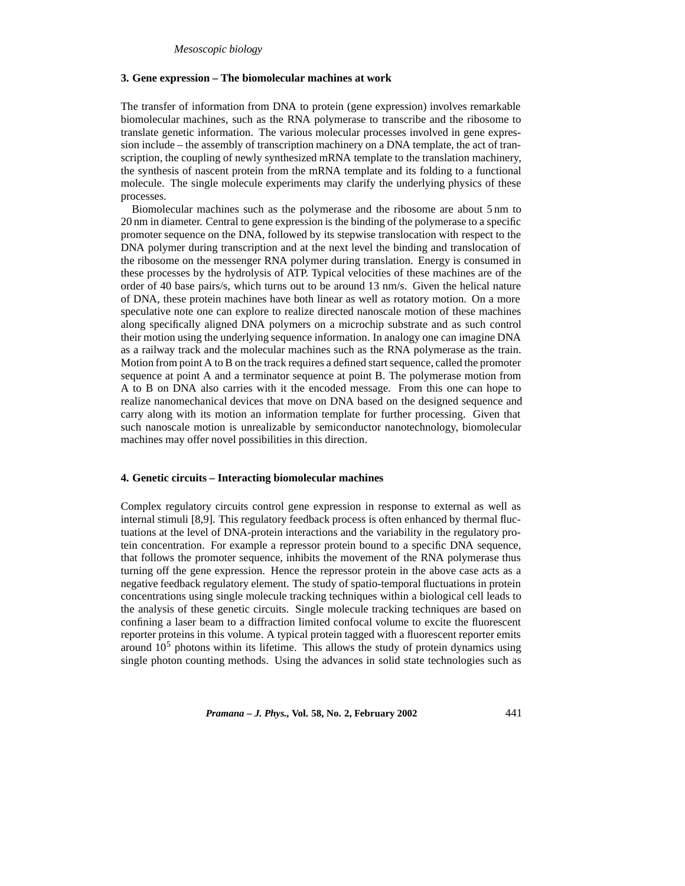## **3. Gene expression – The biomolecular machines at work**

The transfer of information from DNA to protein (gene expression) involves remarkable biomolecular machines, such as the RNA polymerase to transcribe and the ribosome to translate genetic information. The various molecular processes involved in gene expression include – the assembly of transcription machinery on a DNA template, the act of transcription, the coupling of newly synthesized mRNA template to the translation machinery, the synthesis of nascent protein from the mRNA template and its folding to a functional molecule. The single molecule experiments may clarify the underlying physics of these processes.

Biomolecular machines such as the polymerase and the ribosome are about 5 nm to 20 nm in diameter. Central to gene expression is the binding of the polymerase to a specific promoter sequence on the DNA, followed by its stepwise translocation with respect to the DNA polymer during transcription and at the next level the binding and translocation of the ribosome on the messenger RNA polymer during translation. Energy is consumed in these processes by the hydrolysis of ATP. Typical velocities of these machines are of the order of 40 base pairs/s, which turns out to be around 13 nm/s. Given the helical nature of DNA, these protein machines have both linear as well as rotatory motion. On a more speculative note one can explore to realize directed nanoscale motion of these machines along specifically aligned DNA polymers on a microchip substrate and as such control their motion using the underlying sequence information. In analogy one can imagine DNA as a railway track and the molecular machines such as the RNA polymerase as the train. Motion from point A to B on the track requires a defined start sequence, called the promoter sequence at point A and a terminator sequence at point B. The polymerase motion from A to B on DNA also carries with it the encoded message. From this one can hope to realize nanomechanical devices that move on DNA based on the designed sequence and carry along with its motion an information template for further processing. Given that such nanoscale motion is unrealizable by semiconductor nanotechnology, biomolecular machines may offer novel possibilities in this direction.

## **4. Genetic circuits – Interacting biomolecular machines**

Complex regulatory circuits control gene expression in response to external as well as internal stimuli [8,9]. This regulatory feedback process is often enhanced by thermal fluctuations at the level of DNA-protein interactions and the variability in the regulatory protein concentration. For example a repressor protein bound to a specific DNA sequence, that follows the promoter sequence, inhibits the movement of the RNA polymerase thus turning off the gene expression. Hence the repressor protein in the above case acts as a negative feedback regulatory element. The study of spatio-temporal fluctuations in protein concentrations using single molecule tracking techniques within a biological cell leads to the analysis of these genetic circuits. Single molecule tracking techniques are based on confining a laser beam to a diffraction limited confocal volume to excite the fluorescent reporter proteins in this volume. A typical protein tagged with a fluorescent reporter emits around  $10<sup>5</sup>$  photons within its lifetime. This allows the study of protein dynamics using single photon counting methods. Using the advances in solid state technologies such as

*Pramana – J. Phys.,* **Vol. 58, No. 2, February 2002** 441